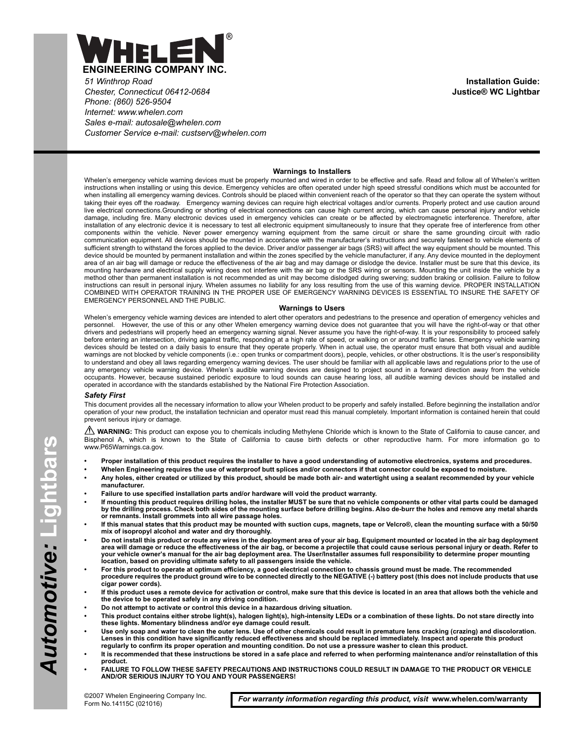

*51 Winthrop Road Chester, Connecticut 06412-0684 Phone: (860) 526-9504 Internet: www.whelen.com Sales e-mail: autosale@whelen.com Customer Service e-mail: custserv@whelen.com*

**Installation Guide: Justice® WC Lightbar**

#### **Warnings to Installers**

Whelen's emergency vehicle warning devices must be properly mounted and wired in order to be effective and safe. Read and follow all of Whelen's written instructions when installing or using this device. Emergency vehicles are often operated under high speed stressful conditions which must be accounted for when installing all emergency warning devices. Controls should be placed within convenient reach of the operator so that they can operate the system without taking their eyes off the roadway. Emergency warning devices can require high electrical voltages and/or currents. Properly protect and use caution around live electrical connections.Grounding or shorting of electrical connections can cause high current arcing, which can cause personal injury and/or vehicle damage, including fire. Many electronic devices used in emergency vehicles can create or be affected by electromagnetic interference. Therefore, after installation of any electronic device it is necessary to test all electronic equipment simultaneously to insure that they operate free of interference from other components within the vehicle. Never power emergency warning equipment from the same circuit or share the same grounding circuit with radio communication equipment. All devices should be mounted in accordance with the manufacturer's instructions and securely fastened to vehicle elements of sufficient strength to withstand the forces applied to the device. Driver and/or passenger air bags (SRS) will affect the way equipment should be mounted. This device should be mounted by permanent installation and within the zones specified by the vehicle manufacturer, if any. Any device mounted in the deployment area of an air bag will damage or reduce the effectiveness of the air bag and may damage or dislodge the device. Installer must be sure that this device, its mounting hardware and electrical supply wiring does not interfere with the air bag or the SRS wiring or sensors. Mounting the unit inside the vehicle by a method other than permanent installation is not recommended as unit may become dislodged during swerving; sudden braking or collision. Failure to follow instructions can result in personal injury. Whelen assumes no liability for any loss resulting from the use of this warning device. PROPER INSTALLATION COMBINED WITH OPERATOR TRAINING IN THE PROPER USE OF EMERGENCY WARNING DEVICES IS ESSENTIAL TO INSURE THE SAFETY OF EMERGENCY PERSONNEL AND THE PUBLIC.

#### **Warnings to Users**

Whelen's emergency vehicle warning devices are intended to alert other operators and pedestrians to the presence and operation of emergency vehicles and personnel. However, the use of this or any other Whelen emergency warning device does not guarantee that you will have the right-of-way or that other drivers and pedestrians will properly heed an emergency warning signal. Never assume you have the right-of-way. It is your responsibility to proceed safely before entering an intersection, driving against traffic, responding at a high rate of speed, or walking on or around traffic lanes. Emergency vehicle warning devices should be tested on a daily basis to ensure that they operate properly. When in actual use, the operator must ensure that both visual and audible warnings are not blocked by vehicle components (i.e.: open trunks or compartment doors), people, vehicles, or other obstructions. It is the user's responsibility to understand and obey all laws regarding emergency warning devices. The user should be familiar with all applicable laws and regulations prior to the use of<br>any emergency vehicle warning device. Whelen's audible warning d occupants. However, because sustained periodic exposure to loud sounds can cause hearing loss, all audible warning devices should be installed and operated in accordance with the standards established by the National Fire Protection Association.

#### *Safety First*

This document provides all the necessary information to allow your Whelen product to be properly and safely installed. Before beginning the installation and/or operation of your new product, the installation technician and operator must read this manual completely. Important information is contained herein that could prevent serious injury or damage.

WARNING: This product can expose you to chemicals including Methylene Chloride which is known to the State of California to cause cancer, and Bisphenol A, which is known to the State of California to cause birth defects or other reproductive harm. For more information go to www.P65Warnings.ca.gov.

- **Proper installation of this product requires the installer to have a good understanding of automotive electronics, systems and procedures.**
- **Whelen Engineering requires the use of waterproof butt splices and/or connectors if that connector could be exposed to moisture.**
- **Any holes, either created or utilized by this product, should be made both air- and watertight using a sealant recommended by your vehicle manufacturer.**
- **Failure to use specified installation parts and/or hardware will void the product warranty.**
- **If mounting this product requires drilling holes, the installer MUST be sure that no vehicle components or other vital parts could be damaged by the drilling process. Check both sides of the mounting surface before drilling begins. Also de-burr the holes and remove any metal shards or remnants. Install grommets into all wire passage holes.**
- **If this manual states that this product may be mounted with suction cups, magnets, tape or Velcro®, clean the mounting surface with a 50/50 mix of isopropyl alcohol and water and dry thoroughly.**
- **Do not install this product or route any wires in the deployment area of your air bag. Equipment mounted or located in the air bag deployment area will damage or reduce the effectiveness of the air bag, or become a projectile that could cause serious personal injury or death. Refer to your vehicle owner's manual for the air bag deployment area. The User/Installer assumes full responsibility to determine proper mounting location, based on providing ultimate safety to all passengers inside the vehicle.**
- **For this product to operate at optimum efficiency, a good electrical connection to chassis ground must be made. The recommended procedure requires the product ground wire to be connected directly to the NEGATIVE (-) battery post (this does not include products that use cigar power cords).**
- **If this product uses a remote device for activation or control, make sure that this device is located in an area that allows both the vehicle and the device to be operated safely in any driving condition.**
- **Do not attempt to activate or control this device in a hazardous driving situation.**
- **This product contains either strobe light(s), halogen light(s), high-intensity LEDs or a combination of these lights. Do not stare directly into these lights. Momentary blindness and/or eye damage could result.**
- **Use only soap and water to clean the outer lens. Use of other chemicals could result in premature lens cracking (crazing) and discoloration. Lenses in this condition have significantly reduced effectiveness and should be replaced immediately. Inspect and operate this product regularly to confirm its proper operation and mounting condition. Do not use a pressure washer to clean this product.**
- **It is recommended that these instructions be stored in a safe place and referred to when performing maintenance and/or reinstallation of this product.**
- **FAILURE TO FOLLOW THESE SAFETY PRECAUTIONS AND INSTRUCTIONS COULD RESULT IN DAMAGE TO THE PRODUCT OR VEHICLE AND/OR SERIOUS INJURY TO YOU AND YOUR PASSENGERS!**

*For warranty information regarding this product, visit* **www.whelen.com/warranty**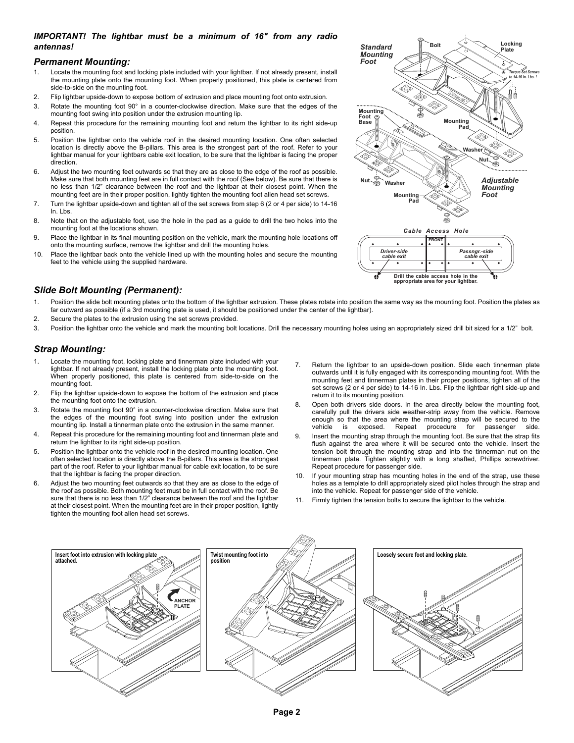### *IMPORTANT! The lightbar must be a minimum of 16" from any radio antennas!*

#### *Permanent Mounting:*

- 1. Locate the mounting foot and locking plate included with your lightbar. If not already present, install the mounting plate onto the mounting foot. When properly positioned, this plate is centered from side-to-side on the mounting foot.
- 2. Flip lightbar upside-down to expose bottom of extrusion and place mounting foot onto extrusion.
- 3. Rotate the mounting foot 90° in a counter-clockwise direction. Make sure that the edges of the mounting foot swing into position under the extrusion mounting lip.
- 4. Repeat this procedure for the remaining mounting foot and return the lightbar to its right side-up position.
- 5. Position the lightbar onto the vehicle roof in the desired mounting location. One often selected location is directly above the B-pillars. This area is the strongest part of the roof. Refer to your lightbar manual for your lightbars cable exit location, to be sure that the lightbar is facing the proper direction.
- 6. Adjust the two mounting feet outwards so that they are as close to the edge of the roof as possible. Make sure that both mounting feet are in full contact with the roof (See below). Be sure that there is no less than 1/2" clearance between the roof and the lightbar at their closest point. When the mounting feet are in their proper position, lightly tighten the mounting foot allen head set screws.
- 7. Turn the lightbar upside-down and tighten all of the set screws from step 6 (2 or 4 per side) to 14-16 In. Lbs.
- 8. Note that on the adjustable foot, use the hole in the pad as a guide to drill the two holes into the mounting foot at the locations shown.
- 9. Place the lightbar in its final mounting position on the vehicle, mark the mounting hole locations off onto the mounting surface, remove the lightbar and drill the mounting holes.
- 10. Place the lightbar back onto the vehicle lined up with the mounting holes and secure the mounting feet to the vehicle using the supplied hardware.



**Drill the cable access hole in the appropriate area for your lightbar.**

# *Slide Bolt Mounting (Permanent):*

- 1. Position the slide bolt mounting plates onto the bottom of the lightbar extrusion. These plates rotate into position the same way as the mounting foot. Position the plates as far outward as possible (if a 3rd mounting plate is used, it should be positioned under the center of the lightbar).
- 2. Secure the plates to the extrusion using the set screws provided.
- 3. Position the lightbar onto the vehicle and mark the mounting bolt locations. Drill the necessary mounting holes using an appropriately sized drill bit sized for a 1/2" bolt.

# *Strap Mounting:*

- 1. Locate the mounting foot, locking plate and tinnerman plate included with your lightbar. If not already present, install the locking plate onto the mounting foot. When properly positioned, this plate is centered from side-to-side on the mounting foot.
- 2. Flip the lightbar upside-down to expose the bottom of the extrusion and place the mounting foot onto the extrusion.
- 3. Rotate the mounting foot 90° in a counter-clockwise direction. Make sure that the edges of the mounting foot swing into position under the extrusion mounting lip. Install a tinnerman plate onto the extrusion in the same manner.
- 4. Repeat this procedure for the remaining mounting foot and tinnerman plate and return the lightbar to its right side-up position.
- 5. Position the lightbar onto the vehicle roof in the desired mounting location. One often selected location is directly above the B-pillars. This area is the strongest part of the roof. Refer to your lightbar manual for cable exit location, to be sure that the lightbar is facing the proper direction.
- 6. Adjust the two mounting feet outwards so that they are as close to the edge of the roof as possible. Both mounting feet must be in full contact with the roof. Be sure that there is no less than 1/2" clearance between the roof and the lightbar at their closest point. When the mounting feet are in their proper position, lightly tighten the mounting foot allen head set screws.
- 7. Return the lightbar to an upside-down position. Slide each tinnerman plate outwards until it is fully engaged with its corresponding mounting foot. With the mounting feet and tinnerman plates in their proper positions, tighten all of the set screws (2 or 4 per side) to 14-16 In. Lbs. Flip the lightbar right side-up and return it to its mounting position.
- 8. Open both drivers side doors. In the area directly below the mounting foot, carefully pull the drivers side weather-strip away from the vehicle. Remove enough so that the area where the mounting strap will be secured to the vehicle is exposed. Repeat procedure for passenger side. vehicle is exposed. Repeat procedure for passenger side.
- 9. Insert the mounting strap through the mounting foot. Be sure that the strap fits flush against the area where it will be secured onto the vehicle. Insert the tension bolt through the mounting strap and into the tinnerman nut on the tinnerman plate. Tighten slightly with a long shafted, Phillips screwdriver. Repeat procedure for passenger side.
- 10. If your mounting strap has mounting holes in the end of the strap, use these holes as a template to drill appropriately sized pilot holes through the strap and into the vehicle. Repeat for passenger side of the vehicle.
- Firmly tighten the tension bolts to secure the lightbar to the vehicle.

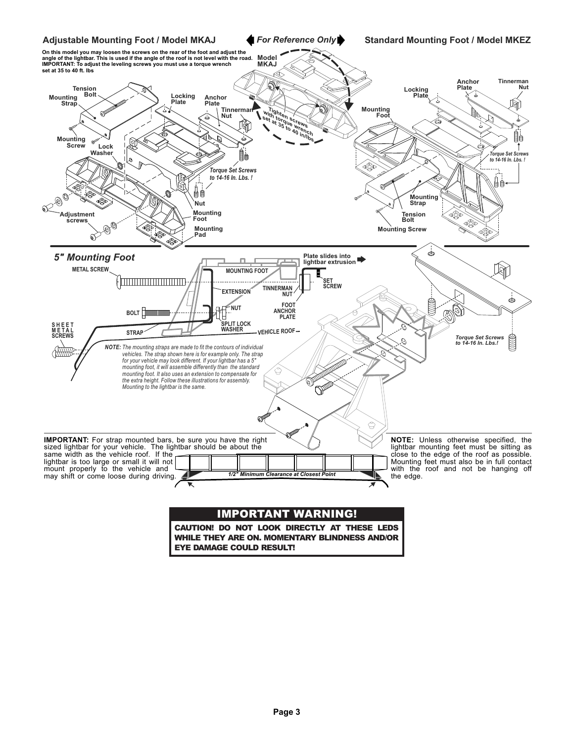

CAUTION! DO NOT LOOK DIRECTLY AT THESE LEDS WHILE THEY ARE ON. MOMENTARY BLINDNESS AND/OR EYE DAMAGE COULD RESULT!